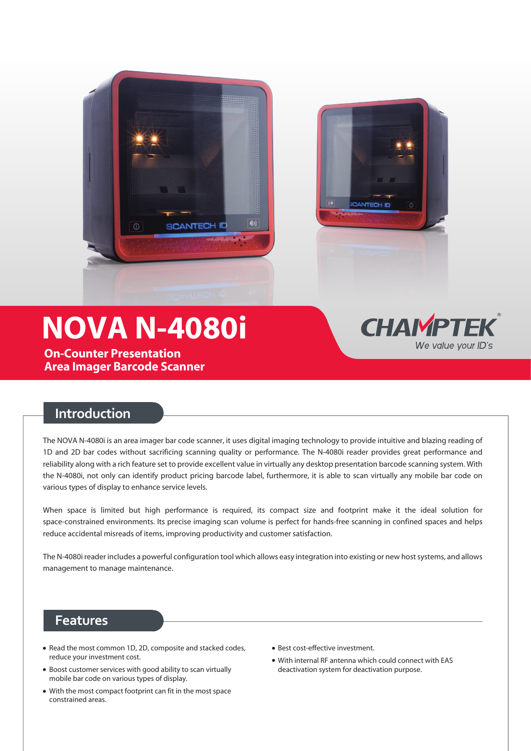



# **NOVA N-4080i**

**On-Counter Presentation Area Imager Barcode Scanner**

# **CHAIMPTEK** We value your ID's

## **Introduction**

The NOVA N-4080i is an area imager bar code scanner, it uses digital imaging technology to provide intuitive and blazing reading of 1D and 2D bar codes without sacrificing scanning quality or performance. The N-4080i reader provides great performance and reliability along with a rich feature set to provide excellent value in virtually any desktop presentation barcode scanning system. With the N-4080i, not only can identify product pricing barcode label, furthermore, it is able to scan virtually any mobile bar code on various types of display to enhance service levels.

When space is limited but high performance is required, its compact size and footprint make it the ideal solution for space-constrained environments. Its precise imaging scan volume is perfect for hands-free scanning in confined spaces and helps reduce accidental misreads of items, improving productivity and customer satisfaction.

The N-4080i reader includes a powerful configuration tool which allows easy integration into existing or new host systems, and allows management to manage maintenance.

# **Features**

- Read the most common 1D, 2D, composite and stacked codes, reduce your investment cost.
- Boost customer services with good ability to scan virtually mobile bar code on various types of display.
- With the most compact footprint can fit in the most space constrained areas.
- Best cost-effective investment.
- With internal RF antenna which could connect with EAS deactivation system for deactivation purpose.